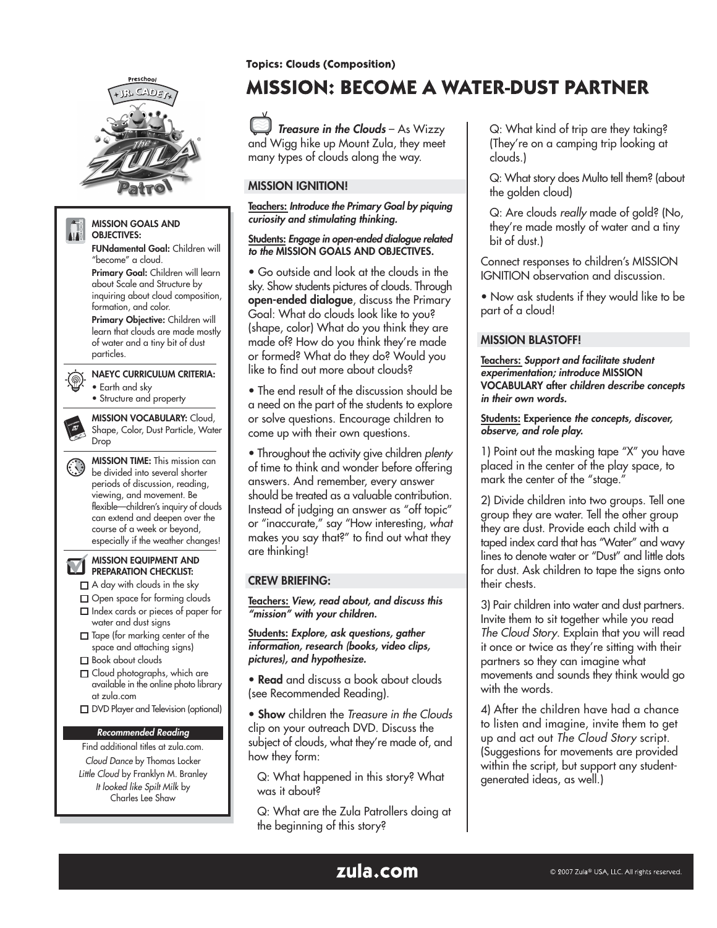

**Topics: Clouds (Composition)** 

# **MISSION: BECOME A WATER-DUST PARTNER**

Treasure in the Clouds - As Wizzy and Wigg hike up Mount Zula, they meet many types of clouds along the way.

## MISSION IGNITION!

Teachers: Introduce the Primary Goal by piquing curiosity and stimulating thinking.

#### Students: Engage in open-ended dialogue related to the MISSION GOALS AND OBJECTIVES.

• Go outside and look at the clouds in the sky. Show students pictures of clouds. Through open-ended dialogue, discuss the Primary Goal: What do clouds look like to you? (shape, color) What do you think they are made of? How do you think they're made or formed? What do they do? Would you like to find out more about clouds?

• The end result of the discussion should be a need on the part of the students to explore or solve questions. Encourage children to come up with their own questions.

• Throughout the activity give children plenty of time to think and wonder before offering answers. And remember, every answer should be treated as a valuable contribution. Instead of judging an answer as "off topic" or "inaccurate," say "How interesting, what makes you say that?" to find out what they are thinking!

### CREW BRIEFING:

Teachers: View, read about, and discuss this "mission" with your children.

Students: Explore, ask questions, gather information, research (books, video clips, pictures), and hypothesize.

• Read and discuss a book about clouds (see Recommended Reading).

• Show children the Treasure in the Clouds clip on your outreach DVD. Discuss the subject of clouds, what they're made of, and how they form:

Q: What happened in this story? What was it about?

Q: What are the Zula Patrollers doing at the beginning of this story?

Q: What kind of trip are they taking? (They're on a camping trip looking at clouds.)

Q: What story does Multo tell them? (about the golden cloud)

Q: Are clouds really made of gold? (No, they're made mostly of water and a tiny bit of dust.)

Connect responses to children's MISSION IGNITION observation and discussion.

• Now ask students if they would like to be part of a cloud!

## MISSION BLASTOFF!

Teachers: Support and facilitate student experimentation; introduce MISSION VOCABULARY after children describe concepts in their own words.

#### Students: Experience the concepts, discover, observe, and role play.

1) Point out the masking tape "X" you have placed in the center of the play space, to mark the center of the "stage."

2) Divide children into two groups. Tell one group they are water. Tell the other group they are dust. Provide each child with a taped index card that has "Water" and wavy lines to denote water or "Dust" and little dots for dust. Ask children to tape the signs onto their chests.

3) Pair children into water and dust partners. Invite them to sit together while you read The Cloud Story. Explain that you will read it once or twice as they're sitting with their partners so they can imagine what movements and sounds they think would go with the words.

4) After the children have had a chance to listen and imagine, invite them to get up and act out The Cloud Story script. (Suggestions for movements are provided within the script, but support any studentgenerated ideas, as well.)